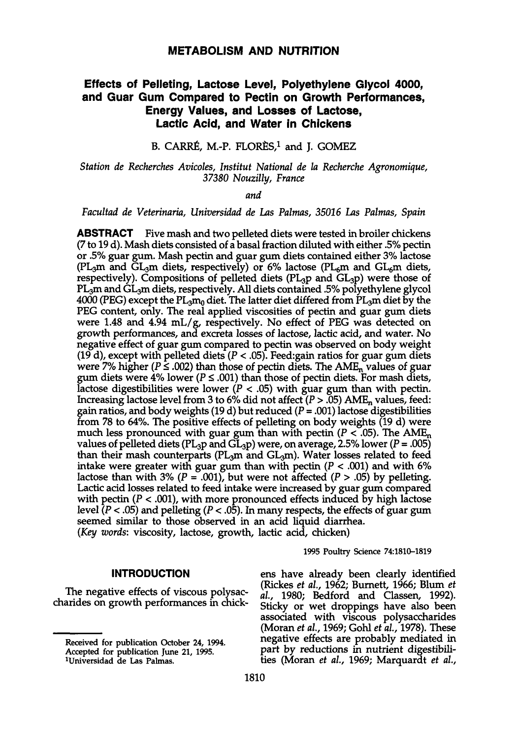## **METABOLISM AND NUTRITION**

# **Effects of Pelleting, Lactose Level, Polyethylene Glycol 4000, and Guar Gum Compared to Pectin on Growth Performances, Energy Values, and Losses of Lactose, Lactic Acid, and Water in Chickens**

# B. CARRÉ, M.-P. FLORÈS,<sup>1</sup> and J. GOMEZ

### *Station de Recherches Avicoles, Institut National de la Recherche Agronomique, 37380 Nouzilly, France*

*and* 

#### *Facultad de Veterinaria, Universidad de Las Palmas, 35016 Las Palmas, Spain*

**ABSTRACT** Five mash and two pelleted diets were tested in broiler chickens (7 to 19 d). Mash diets consisted of a basal fraction diluted with either .5% pectin or .5% guar gum. Mash pectin and guar gum diets contained either 3% lactose (PL<sub>3</sub>m and GL<sub>3</sub>m diets, respectively) or 6% lactose (PL<sub>6</sub>m and GL<sub>6</sub>m diets, respectively). Compositions of pelleted diets (PL<sub>3</sub>p and GL<sub>3</sub>p) were those of PL<sub>3</sub>m and GL<sub>3</sub>m diets, respectively. All diets contained .5% polyethylene glycol 4000 (PEG) except the  $PL_3m_0$  diet. The latter diet differed from PL<sub>a</sub>m diet by the PEG content, only. The real applied viscosities of pectin and guar gum diets were 1.48 and 4.94 mL/g, respectively. No effect of PEG was detected on growth performances, and excreta losses of lactose, lactic acid, and water. No negative effect of guar gum compared to pectin was observed on body weight (19 d), except with pelleted diets ( $P < .05$ ). Feed:gain ratios for guar gum diets were 7% higher ( $P \le 0.002$ ) than those of pectin diets. The AME<sub>n</sub> values of guar gum diets were 4% lower ( $P \le .001$ ) than those of pectin diets. For mash diets, lactose digestibilities were lower ( $P < .05$ ) with guar gum than with pectin. Increasing lactose level from 3 to 6% did not affect ( $P > .05$ ) A gain ratios, and body weights (19 d) but reduced ( $P = .001$ ) lactose digestibilities from 78 to 64%. The positive effects of pelleting on body weights (19 d) were much less pronounced with guar gum than with pectin ( $P < .05$ ). The AME<sub>n</sub> values of pelleted diets (PL<sub>3</sub>p and GL<sub>3</sub>p) were, on average, 2.5% lower ( $P = .005$ ) than their mash counterparts (PL<sub>3</sub>m and GL<sub>3</sub>m). Water losses related to feed intake were greater with guar gum than with pectin ( $P < .001$ ) and with 6% lactose than with 3% ( $P = .001$ ), but were not affected ( $P > .05$ ) by pelleting. Lactic acid losses related to feed intake were increased by guar gum compared with pectin ( $P < .001$ ), with more pronounced effects induced by high lactose level  $(P < .05)$  and pelleting  $(P < .05)$ . In many respects, the effects of guar gum seemed similar to those observed in an acid liquid diarrhea. *(Key words:* viscosity, lactose, growth, lactic acid, chicken)

1995 Poultry Science 74:1810-1819

### **INTRODUCTION**

The negative effects of viscous polysac- charides on growth performances in chick-

ens have already been clearly identified (Rickes *et al.,* 1962; Burnett, 1966; Blum *et ah,* 1980; Bedford and Classen, 1992). Sticky or wet droppings have also been associated with viscous polysaccharides (Moran *et al,* 1969; Gohl *et al,* 1978). These negative effects are probably mediated in part by reductions in nutrient digestibili- ties (Moran *et al,* 1969; Marquardt *et al,* 

Received for publication October 24, 1994.<br>Accepted for publication June 21, 1995.<br><sup>1</sup>Universidad de Las Palmas.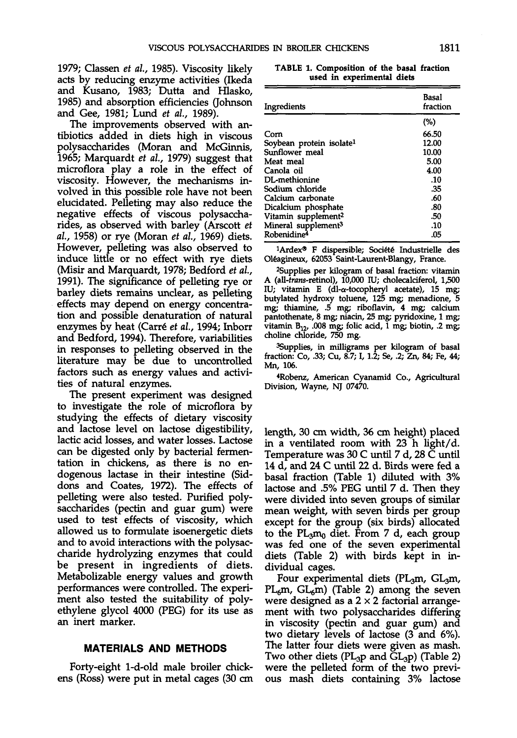1979; Classen *et al,* 1985). Viscosity likely acts by reducing enzyme activities (Ikeda and Kusano, 1983; Dutta and Hlasko, 1985) and absorption efficiencies 0ohnson and Gee, 1981; Lund *et al,* 1989).

The improvements observed with an- tibiotics added in diets high in viscous polysaccharides (Moran and McGinnis, 1965; Marquardt *et al,* 1979) suggest that microflora play a role in the effect of viscosity. However, the mechanisms in- volved in this possible role have not been elucidated. Pelleting may also reduce the negative effects of viscous polysaccha- rides, as observed with barley (Arscott *et al,* 1958) or rye (Moran *et al,* 1969) diets. However, pelleting was also observed to induce little or no effect with rye diets (Misir and Marquardt, 1978; Bedford *et al,*  1991). The significance of pelleting rye or barley diets remains unclear, as pelleting effects may depend on energy concentra- tion and possible denaturation of natural enzymes by heat (Carre' *et al,* 1994; Inborr and Bedford, 1994). Therefore, variabilities in responses to pelleting observed in the literature may be due to uncontrolled factors such as energy values and activi- ties of natural enzymes.

The present experiment was designed to investigate the role of microflora by studying the effects of dietary viscosity and lactose level on lactose digestibility, lactic acid losses, and water losses. Lactose can be digested only by bacterial fermentation in chickens, as there is no en-<br>dogenous lactase in their intestine (Sid-<br>dons and Coates, 1972). The effects of pelleting were also tested. Purified poly- saccharides (pectin and guar gum) were used to test effects of viscosity, which allowed us to formulate isoenergetic diets and to avoid interactions with the polysac- charide hydrolyzing enzymes that could be present in ingredients of diets. Metabolizable energy values and growth performances were controlled. The experi- ment also tested the suitability of poly- ethylene glycol 4000 (PEG) for its use as an inert marker.

### **MATERIALS AND METHODS**

Forty-eight 1-d-old male broiler chickens (Ross) were put in metal cages (30 cm

|  | TABLE 1. Composition of the basal fraction |  |  |
|--|--------------------------------------------|--|--|
|  | used in experimental diets                 |  |  |

| Ingredients                          | Basal<br>fraction |
|--------------------------------------|-------------------|
|                                      | (%)               |
| Corn                                 | 66.50             |
| Soybean protein isolate <sup>1</sup> | 12.00             |
| Sunflower meal                       | 10.00             |
| Meat meal                            | 5.00              |
| Canola oil                           | 4.00              |
| DL-methionine                        | .10               |
| Sodium chloride                      | -35               |
| Calcium carbonate                    | .60               |
| Dicalcium phosphate                  | .80               |
| Vitamin supplement <sup>2</sup>      | .50               |
| Mineral supplement <sup>3</sup>      | .10               |
| Robenidine <sup>4</sup>              | .05               |

<sup>1</sup>Ardex® F dispersible; Société Industrielle des Oléagineux, 62053 Saint-Laurent-Blangy, France.

<sup>2</sup>Supplies per kilogram of basal fraction: vitamin A (all-*trans-retinol)*, 10,000 IU; cholecalciferol, 1,500 IU; vitamin E (dl-a-tocopheryl acetate), 15 mg; butylated hydroxy toluene, 125 mg; menadione, 5 mg; thiamine, .5 mg; riboflavin, 4 mg; calcium pantothenate, 8 mg; niacin, 25 mg; pyridoxine, 1 mg; vitamin  $B_{12}$ , .008 mg; folic acid, 1 mg; biotin, .2 mg; choline chloride, 750 mg.

Supplies, in milligrams per kilogram of basal fraction: Co, .33; Cu, 8.7; I, 1.2; Se, .2; Zn, 84; Fe, 44; Mn, 106. 4

Robenz, American Cyanamid Co., Agricultural Division, Wayne, NJ 07470.

length, 30 cm width, 36 cm height) placed in a ventilated room with 23 h light/d. Temperature was 30 C until 7 d, 28 C until 14 d, and 24 C until 22 d. Birds were fed a basal fraction (Table 1) diluted with 3% lactose and .5% PEG until 7 d. Then they were divided into seven groups of similar mean weight, with seven birds per group except for the group (six birds) allocated to the  $PL_3m_0$  diet. From 7 d, each group was fed one of the seven experimental diets (Table 2) with birds kept in in- dividual cages.

Four experimental diets (PL<sub>3</sub>m, GL<sub>3</sub>m, PL<sub>6</sub>m) (Table 2) among the seven were designed as a  $2 \times 2$  factorial arrange-<br>ment with two polysaccharides differing in viscosity (pectin and guar gum) and two dietary levels of lactose (3 and 6%). The latter four diets were given as mash. Two other diets (PL<sub>3</sub>p and GL<sub>3</sub>p) (Table 2) were the pelleted form of the two previ- ous mash diets containing 3% lactose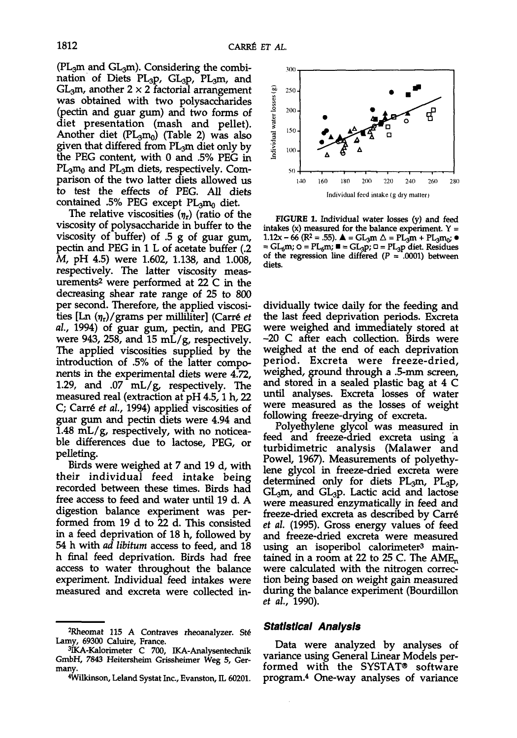$(PL_3m$  and  $GL_3m)$ . Considering the combination of Diets PL<sub>3</sub>p, GL<sub>3</sub>p, PL<sub>3</sub>m, and  $GL<sub>3</sub>m$ , another 2  $\times$  2 factorial arrangement was obtained with two polysaccharides (pectin and guar gum) and two forms of diet presentation (mash and pellet). Another diet  $(PL_3m_0)$  (Table 2) was also given that differed from  $PL_3m$  diet only by the PEG content, with 0 and .5% PEG in  $PL_3m_0$  and  $PL_3m$  diets, respectively. Comparison of the two latter diets allowed us to test the effects of PEG. All diets contained .5% PEG except  $PL_3m_0$  diet.

The relative viscosities  $(\eta_r)$  (ratio of the viscosity of polysaccharide in buffer to the viscosity of buffer) of .5 g of guar gum, pectin and PEG in 1 L of acetate buffer (.2 M, pH 4.5) were 1.602, 1.138, and 1.008, respectively. The latter viscosity measurements<sup>2</sup> were performed at 22 C in the decreasing shear rate range of 25 to 800 per second. Therefore, the applied viscosities  $\left[ \text{Ln} \left( \eta_{r} \right) / \text{grams per milliliter} \right]$  (Carré *et al,* 1994) of guar gum, pectin, and PEG were 943, 258, and 15 mL/g, respectively. The applied viscosities supplied by the introduction of .5% of the latter components in the experimental diets were 4.72, 1.29, and .07 mL/g, respectively. The measured real (extraction at pH 4.5,1 h, 22 C; Carré *et al.*, 1994) applied viscosities of guar gum and pectin diets were 4.94 and 1.48 mL/g, respectively, with no noticeable differences due to lactose, PEG, or pelleting.

Birds were weighed at 7 and 19 d, with their individual feed intake being recorded between these times. Birds had free access to feed and water until 19 d. A digestion balance experiment was performed from 19 d to 22 d. This consisted in a feed deprivation of 18 h, followed by 54 h with *ad libitum* access to feed, and 18 h final feed deprivation. Birds had free access to water throughout the balance experiment. Individual feed intakes were measured and excreta were collected in-



**FIGURE 1.** Individual water losses (y) and feed intakes (x) measured for the balance experiment.  $Y =$  $1.12x - 66$  (R<sup>2</sup> = .55).  $\triangle$  = GL<sub>3</sub>m  $\triangle$  = PL<sub>3</sub>m + PL<sub>3</sub>m<sub>0</sub>;  $\bullet$ =  $GL_6m$ ;  $O = PL_6m$ ;  $\blacksquare = GL_3p$ ;  $O = PL_3p$  diet. Residues of the regression line differed ( $P = .0001$ ) between diets.

dividually twice daily for the feeding and the last feed deprivation periods. Excreta were weighed and immediately stored at -20 C after each collection. Birds were weighed at the end of each deprivation period. Excreta were freeze-dried, weighed, ground through a .5-mm screen, and stored in a sealed plastic bag at 4 C until analyses. Excreta losses of water were measured as the losses of weight following freeze-drying of excreta.

Polyethylene glycol was measured in feed and freeze-dried excreta using a turbidimetric analysis (Malawer and Powel, 1967). Measurements of polyethy- lene glycol in freeze-dried excreta were determined only for diets PL<sub>3</sub>m, PL<sub>3</sub>p,<br>GL<sub>3</sub>m, and GL<sub>3</sub>p. Lactic acid and lactose were measured enzymatically in feed and freeze-dried excreta as described by Carre" *et al.* (1995). Gross energy values of feed and freeze-dried excreta were measured using an isoperibol calorimeter<sup>3</sup> maintained in a room at 22 to 25 C. The AME<sub>n</sub> were calculated with the nitrogen correction being based on weight gain measured tion being based on weight gain measured<br>during the balance experiment (Bourdillon *et al,* 1990).

#### *Statistical Analysis*

Data were analyzed by analyses of variance using General Linear Models per-<br>formed with the SYSTAT® software program.<sup>4</sup> One-way analyses of variance

<sup>&</sup>lt;sup>2</sup>Rheomat 115 A Contraves rheoanalyzer. Sté Lamy, 69300 Caluire, France.<br> $\frac{3\pi\zeta}{2}$ A-Kalorimeter, C. 700, JKA Analyzertesbrik

<sup>&</sup>lt;sup>3</sup>IKA-Kalorimeter C 700, IKA-Analysentechnik GmbH, 7843 Heitersheim Grissheimer Weg 5, Ger- many. 4

Wilkinson, Leland Systat Inc., Evanston, IL 60201.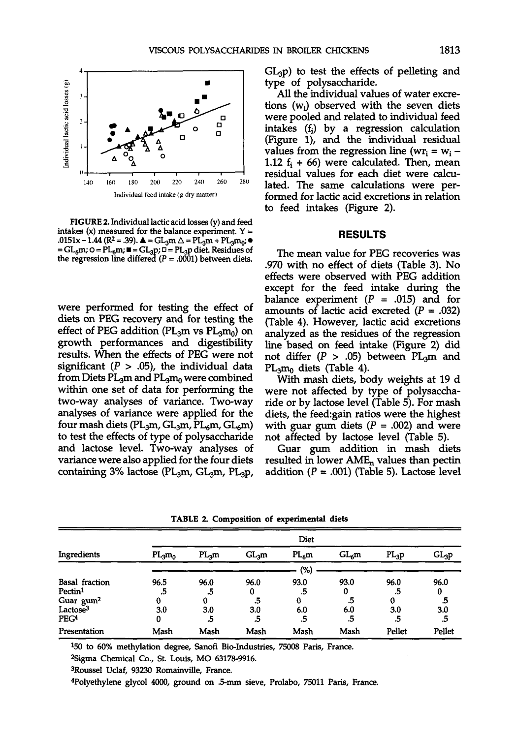

**FIGURE 2.** Individual lactic acid losses (y) and feed intakes (x) measured for the balance experiment.  $Y =$  $1.0151x - 1.44$  (R<sup>2</sup> = .39).  $\triangle = GL_3m \triangle = PL_3m + PL_3m_0$ ;  $= GL_6m$ ;  $\circ = PL_6m$ ;  $\blacksquare = GL_3p$ ;  $\Box = PL_3p$  diet. Residues of the regression line differed  $(P = .0001)$  between diets.

were performed for testing the effect of diets on PEG recovery and for testing the effect of PEG addition ( $PL_3m$  vs  $PL_3m_0$ ) on growth performances and digestibility results. When the effects of PEG were not significant ( $P > .05$ ), the individual data from Diets  $PL_3m$  and  $PL_3m_0$  were combined within one set of data for performing the two-way analyses of variance. Two-way analyses of variance were applied for the four mash diets (PL<sub>3</sub>m, GL<sub>3</sub>m, PL<sub>6</sub>m, GL<sub>6</sub>m) to test the effects of type of polysaccharide and lactose level. Two-way analyses of variance were also applied for the four diets containing  $3\%$  lactose (PL<sub>3</sub>m, GL<sub>3</sub>m, PL<sub>3</sub>p,  $GL_3$ p) to test the effects of pelleting and type of polysaccharide.

All the individual values of water excretions (wj) observed with the seven diets were pooled and related to individual feed intakes (fj) by a regression calculation (Figure 1), and the individual residual values from the regression line ( $wr_i = w_i$  – 1.12  $f_i$  + 66) were calculated. Then, mean residual values for each diet were calculated. The same calculations were performed for lactic acid excretions in relation to feed intakes (Figure 2).

#### **RESULTS**

The mean value for PEG recoveries was .970 with no effect of diets (Table 3). No effects were observed with PEG addition except for the feed intake during the balance experiment  $(P = .015)$  and for amounts of lactic acid excreted  $(P = .032)$ (Table 4). However, lactic acid excretions analyzed as the residues of the regression line based on feed intake (Figure 2) did not differ  $(P > .05)$  between PL<sub>3</sub>m and PLamo diets (Table 4).

With mash diets, body weights at 19 d were not affected by type of polysaccharide or by lactose level (Table 5). For mash diets, the feed:gain ratios were the highest with guar gum diets ( $P = .002$ ) and were not affected by lactose level (Table 5).

Guar gum addition in mash diets resulted in lower  $AME<sub>n</sub>$  values than pectin addition  $(P = .001)$  (Table 5). Lactose level

|                       |           |                   |         | Diet      |         |         |         |
|-----------------------|-----------|-------------------|---------|-----------|---------|---------|---------|
| Ingredients           | $PL_3m_0$ | PL <sub>3</sub> m | $GL_3m$ | $PL_{6}m$ | $GL_6m$ | $PL_3p$ | $GL_3p$ |
|                       |           |                   |         | (%)       |         |         |         |
| <b>Basal</b> fraction | 96.5      | 96.0              | 96.0    | 93.0      | 93.0    | 96.0    | 96.0    |
| Pectin <sup>1</sup>   | .5        | .5                | 0       | .5        | 0       | .5      | 0       |
| Guar gum <sup>2</sup> | 0         | 0                 | .5      | 0         | .5      | 0       | .5      |
| Lactose <sup>3</sup>  | 3.0       | 3.0               | 3.0     | 6.0       | 6.0     | 3.0     | 3.0     |
| PEG <sup>4</sup>      | 0         | .5                | .5      | .5        | .5      | .5      | .5      |
| Presentation          | Mash      | Mash              | Mash    | Mash      | Mash    | Pellet  | Pellet  |

**TABLE 2. Composition of experimental diets** 

150 to 60% methylation degree, Sanofi Bio-Industries, 75008 Paris, France.<br><sup>261</sup>0ma Chamical Co., St. Louis, MO 63178,9916.

<sup>2</sup>Sigma Chemical Co., St. Louis, MO 63178-9916.

3Roussel Uclaf, 93230 Romainville, France.

Polyethylene glycol 4000, ground on ,5-mm sieve, Prolabo, 75011 Paris, France.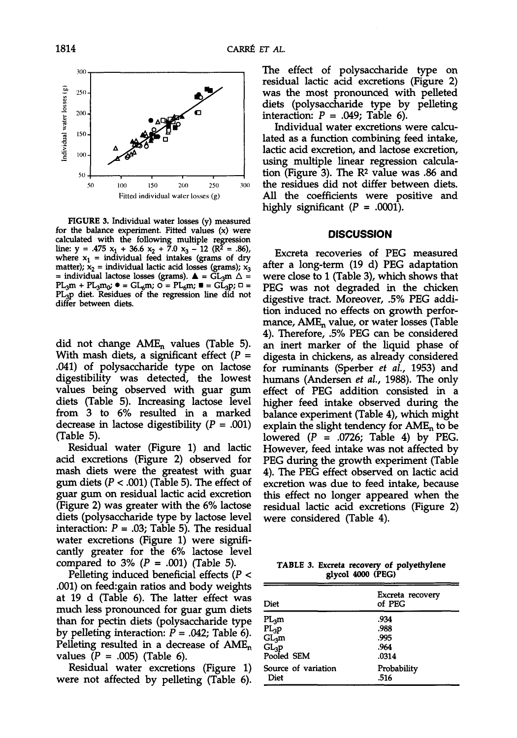

FIGURE 3. Individual water losses (y) measured<br>for the balance experiment. Fitted values (x) were calculated with the following multiple regression line: y = .475 x<sub>1</sub> + 36.6 x<sub>2</sub> + 7.0 x<sub>3</sub> - 12 (R<sup>2</sup> = .86), where x<sub>1</sub> = individual feed intakes (grams of dry matter);  $x_2$  = individual lactic acid losses (grams);  $x_3$ <br>= individual lactose losses (grams).  $\triangle$  = GL<sub>3</sub>m  $\triangle$  =  $PL_3m + PL_3m_0$ ;  $\bullet = GL_6m$ ;  $\bullet = PL_6m$ ;  $\bullet = GL_3p$ ;  $\circ = PL_3p$  diet. Residues of the regression line did not differ between diets.

did not change  $AME_n$  values (Table 5). With mash diets, a significant effect  $(P =$ .041) of polysaccharide type on lactose digestibility was detected, the lowest values being observed with guar gum diets (Table 5). Increasing lactose level from 3 to 6% resulted in a marked decrease in lactose digestibility  $(P = .001)$ (Table 5).

Residual water (Figure 1) and lactic acid excretions (Figure 2) observed for mash diets were the greatest with guar gum diets ( $P < .001$ ) (Table 5). The effect of guar gum on residual lactic acid excretion (Figure 2) was greater with the 6% lactose diets (polysaccharide type by lactose level interaction:  $P = .03$ ; Table 5). The residual water excretions (Figure 1) were significantly greater for the 6% lactose level compared to  $3\%$  ( $P = .001$ ) (Table 5).

Pelleting induced beneficial effects  $(P <$ .001) on feed:gain ratios and body weights at 19 d (Table 6). The latter effect was much less pronounced for guar gum diets than for pectin diets (polysaccharide type by pelleting interaction:  $P = .042$ ; Table 6). Pelleting resulted in a decrease of  $AME_n$ values  $(P = .005)$  (Table 6).

Residual water excretions (Figure 1) were not affected by pelleting (Table 6). The effect of polysaccharide type on residual lactic acid excretions (Figure 2) was the most pronounced with pelleted diets (polysaccharide type by pelleting interaction:  $P = .049$ ; Table 6).

Individual water excretions were calculated as a function combining feed intake, lactic acid excretion, and lactose excretion, using multiple linear regression calculation (Figure 3). The R2 value was .86 and the residues did not differ between diets. All the coefficients were positive and highly significant  $(P = .0001)$ .

#### **DISCUSSION**

Excreta recoveries of PEG measured after a long-term (19 d) PEG adaptation were close to 1 (Table 3), which shows that PEG was not degraded in the chicken digestive tract. Moreover, .5% PEG addition induced no effects on growth performance,  $AME<sub>n</sub>$  value, or water losses (Table 4). Therefore, .5% PEG can be considered an inert marker of the liquid phase of digesta in chickens, as already considered for ruminants (Sperber *et ah,* 1953) and humans (Andersen *et ah,* 1988). The only effect of PEG addition consisted in a higher feed intake observed during the balance experiment (Table 4), which might explain the slight tendency for  $AME<sub>n</sub>$  to be lowered  $(P = .0726;$  Table 4) by PEG. However, feed intake was not affected by PEG during the growth experiment (Table 4). The PEG effect observed on lactic acid excretion was due to feed intake, because this effect no longer appeared when the residual lactic acid excretions (Figure 2) were considered (Table 4).

**TABLE 3. Excreta recovery of polyethylene glycol 4000 (PEG)** 

| Diet                           | Excreta recovery<br>of PEG |
|--------------------------------|----------------------------|
| $\rm{PL}_{3}m$                 | .934                       |
| $PL_3p$                        | .988                       |
| $\overline{{\rm GL}_3{\rm m}}$ | .995                       |
| $GL_3p$                        | .964                       |
| Pooled SEM                     | .0314                      |
| Source of variation            | Probability                |
| Diet                           | .516                       |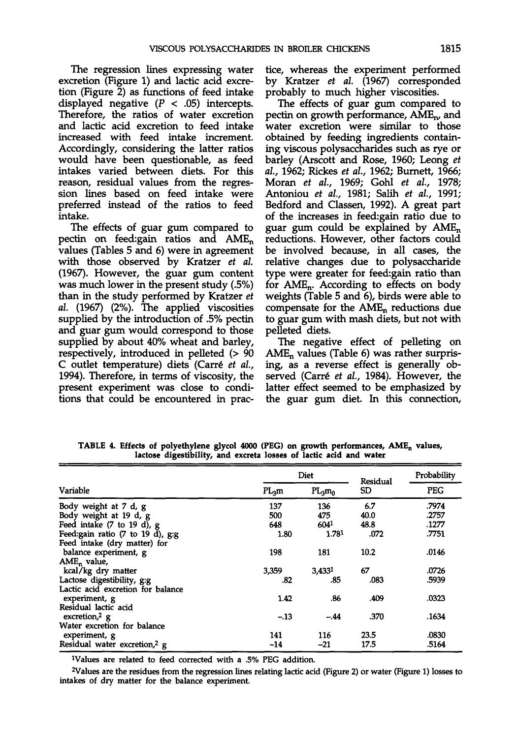The regression lines expressing water excretion (Figure 1) and lactic acid excretion (Figure 2) as functions of feed intake displayed negative  $(P < .05)$  intercepts. Therefore, the ratios of water excretion and lactic acid excretion to feed intake increased with feed intake increment. Accordingly, considering the latter ratios would have been questionable, as feed intakes varied between diets. For this reason, residual values from the regression lines based on feed intake were preferred instead of the ratios to feed intake.

The effects of guar gum compared to pectin on feed:gain ratios and AMEn values (Tables 5 and 6) were in agreement with those observed by Kratzer *et al.*  (1967). However, the guar gum content was much lower in the present study (.5%) than in the study performed by Kratzer *et al.* (1967) (2%). The applied viscosities supplied by the introduction of .5% pectin and guar gum would correspond to those supplied by about 40% wheat and barley, respectively, introduced in pelleted (> 90 C outlet temperature) diets (Carr6 *et al,*  1994). Therefore, in terms of viscosity, the present experiment was close to conditions that could be encountered in practice, whereas the experiment performed by Kratzer *et al.* (1967) corresponded probably to much higher viscosities.

The effects of guar gum compared to pectin on growth performance, AMEn, and water excretion were similar to those obtained by feeding ingredients containing viscous polysaccharides such as rye or barley (Arscott and Rose, 1960; Leong *et al,* 1962; Rickes *et al,* 1962; Burnett, 1966; Moran *et al,* 1969; Gohl *et al,* 1978; Antoniou *et al,* 1981; Salih *et al,* 1991; Bedford and Classen, 1992). A great part of the increases in feed:gain ratio due to guar gum could be explained by  $AME_n$ reductions. However, other factors could be involved because, in all cases, the relative changes due to polysaccharide type were greater for feed:gain ratio than for AMEn. According to effects on body weights (Table 5 and 6), birds were able to compensate for the  $AME<sub>n</sub>$  reductions due to guar gum with mash diets, but not with pelleted diets.

The negative effect of pelleting on  $AME<sub>n</sub>$  values (Table 6) was rather surprising, as a reverse effect is generally observed (Carré et al., 1984). However, the latter effect seemed to be emphasized by the guar gum diet. In this connection,

|                                                |         | Diet      | Residual | Probability |
|------------------------------------------------|---------|-----------|----------|-------------|
| Variable                                       | $PL_3m$ | $PL_3m_0$ | SD       | <b>PEG</b>  |
| Body weight at 7 d, g                          | 137     | 136       | 6.7      | .7974       |
| Body weight at 19 d, g                         | 500     | 475       | 40.0     | .2757       |
| Feed intake $(7 \text{ to } 19 \text{ d})$ , g | 648     | 6041      | 48.8     | .1277       |
| Feed: gain ratio $(7$ to 19 d), $g$ : $g$      | 1.80    | 1.781     | .072     | .7751       |
| Feed intake (dry matter) for                   |         |           |          |             |
| balance experiment, g                          | 198     | 181       | 10.2     | .0146       |
| AME, value,                                    |         |           |          |             |
| kcal/kg dry matter                             | 3,359   | 3,4331    | 67       | .0726       |
| Lactose digestibility, g:g                     | .82     | .85       | .083     | .5939       |
| Lactic acid excretion for balance              |         |           |          |             |
| experiment, g                                  | 1.42    | .86       | .409     | .0323       |
| Residual lactic acid                           |         |           |          |             |
| excretion, $2 \, g$                            | $-.13$  | $-.44$    | .370     | .1634       |
| Water excretion for balance                    |         |           |          |             |
| experiment, g                                  | 141     | 116       | 23.5     | .0830       |
| Residual water excretion, <sup>2</sup> g       | $-14$   | -21       | 17.5     | .5164       |

**TABLE 4. Effects of polyethylene glycol 4000 (PEG) on growth performances, AMEn values, lactose digestibility, and excreta losses of lactic acid and water** 

Values are related to feed corrected with a .5% PEG addition. 2

Values are the residues from the regression lines relating lactic acid (Figure 2) or water (Figure 1) losses to intakes of dry matter for the balance experiment.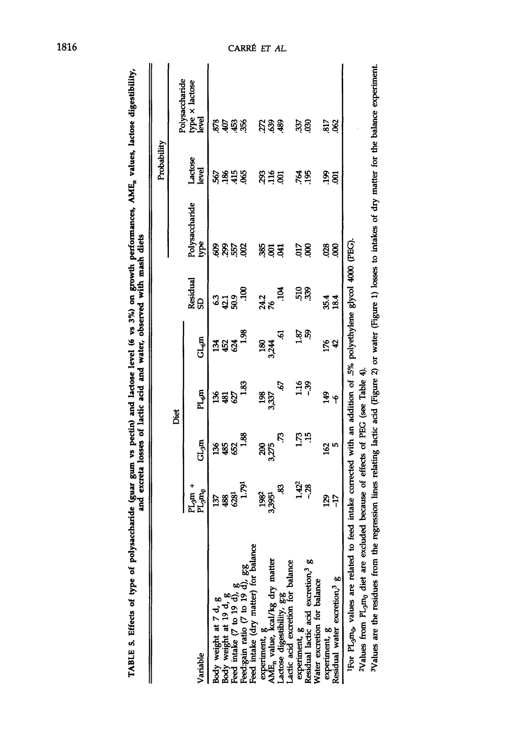|                                                                                                                                                                                   |                                    |                   |                                                                          |             |                    |                        | Probability      |                                           |
|-----------------------------------------------------------------------------------------------------------------------------------------------------------------------------------|------------------------------------|-------------------|--------------------------------------------------------------------------|-------------|--------------------|------------------------|------------------|-------------------------------------------|
|                                                                                                                                                                                   |                                    |                   | Diet                                                                     |             |                    |                        |                  |                                           |
| Variable                                                                                                                                                                          | $PL_{3}$ m +<br>PL $_{3}$ m $_{0}$ | GL <sub>3</sub> m | $PL_{\mathcal{F}}$ m                                                     | $GL_{6}m$   | Residual<br>e      | Polysaccharide<br>type | Lactose<br>level | Polysaccharide<br>type x lactose<br>level |
|                                                                                                                                                                                   | 137                                | 388               | 382                                                                      | ង្គន្ល      | <b>ះ</b><br>ជុំដូន | gara                   | 567              | ខ្លួំ ម៉ូ ឆ្ល័                            |
|                                                                                                                                                                                   | 488<br>629                         |                   |                                                                          |             |                    |                        | <b>\$\$\$</b>    |                                           |
|                                                                                                                                                                                   |                                    |                   |                                                                          |             |                    |                        |                  |                                           |
| Body weight at $7 d, g$<br>Body weight at $19 d, g$<br>Feed intake $(7 \text{ to } 19 d), g$<br>Feed:gain ratio $(7 \text{ to } 19 d), g$<br>Feed intake (dry matter) for balance | 1.791                              | 1.88              | 1.83                                                                     | 1.98        | $\ddot{5}$         |                        |                  |                                           |
|                                                                                                                                                                                   | 1982                               |                   |                                                                          |             |                    |                        |                  |                                           |
|                                                                                                                                                                                   | 3,3951                             | 200<br>325        | 198<br>3,337                                                             | 180<br>3244 | 24.2<br>76         | ន្លន់ឪ                 | <u>ន្លងខ្ល</u>   | ដូនទុ                                     |
| experiment, g<br>AME <sub>n</sub> value, kcal/kg dry matter<br>Lactose digestibility, g:g<br>Lactic acid excretion for balance                                                    | S,                                 | Ľ                 | Ģ                                                                        | ত্          | ă                  |                        |                  |                                           |
|                                                                                                                                                                                   |                                    |                   |                                                                          |             |                    |                        |                  |                                           |
|                                                                                                                                                                                   | $1.42^2$<br>- 28                   | 1.73              | 1.16                                                                     | <u>ន្ទា</u> | ដី ខ្ល             | 5.                     | 795              | 337                                       |
| experiment, $g$<br>Residual lactic acid excretion, <sup>3</sup> $g$<br>Water excretion for balance                                                                                |                                    | $\ddot{15}$       |                                                                          |             |                    | 8                      |                  | 8                                         |
| experiment, g                                                                                                                                                                     |                                    | 162               |                                                                          |             | 35.4               | 028                    | $\frac{3}{2}$    | 817                                       |
| Residual water excretion, <sup>3</sup> g                                                                                                                                          | 25<br>17                           | 5                 | م<br>پيو                                                                 | <u>ក្រុ</u> | 18.4               | g                      | g                | $\frac{82}{5}$                            |
| IFor PL <sub>9</sub> m <sub>0</sub> , values are related to feed                                                                                                                  |                                    |                   | intake corrected with an addition of .5% polyethylene glycol 4000 (PEG). |             |                    |                        |                  |                                           |
| 2Values from PL <sub>3</sub> m <sub>0</sub> diet are excluded                                                                                                                     |                                    |                   | because of effects of PEG (see Table 4).                                 |             |                    |                        |                  |                                           |
| 5Values are the residues from the regression lines relating lactic acid (Figure 2) or water (Figure 1) losses to intakes of dry matter for the balance experiment.                |                                    |                   |                                                                          |             |                    |                        |                  |                                           |

TABLE 5. Effects of type of polysaccharide (guar gum vs pectin) and lactose level (6 vs 3%) on growth performances, AME<sub>n</sub> values, lactose digestibility,<br>and excreta losses of lactic acid and water, observed with mash diet **TABLE 5. Effects of type of polysaccharide (guar gum vs pectin) and lactose level (6 vs 3%) on growth p and excreta losses of lactic acid and water, observed with mash**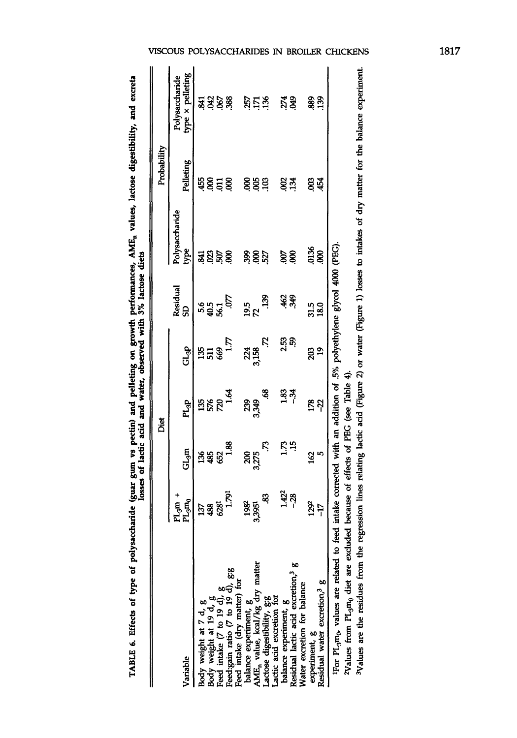| י<br>ק                                                                                               |
|------------------------------------------------------------------------------------------------------|
|                                                                                                      |
| j                                                                                                    |
| Ī                                                                                                    |
| i                                                                                                    |
|                                                                                                      |
| ֧֧֧֧֧֧֧֧֧֧֧֧֧֧֧֧֧֧֚֚֚֚֚֚֚֚֚֚֚֚֚֚֚֚֚֚֚֚֚֚֚֚֚֚֚֚֚֚֚֝֝֟֓֝֓֝֓֝֓֝֓֝֬֝֓֝֓֝֬֝֓֝֓֝֬֝֬֝֬֝                     |
|                                                                                                      |
| and pelleting on grow<br>، منتمد<br>١                                                                |
| ֧֧֧֧֧֧֧֦֧֧֦֧֧֦֧֧֦֧֧֦֧֧֧֧֧֧֛֚֚֚֚֚֚֚֚֚֚֚֚֚֚֚֚֚֚֚֚֚֚֚֚֚֚֚֚֚֬֝֓֝֓֝֓֝֓֝֓֓֓֓֓֓֝֬֝֓֝֬֝֬֝֬֝                  |
| we pectin) and                                                                                       |
|                                                                                                      |
| <br> <br> }<br> }                                                                                    |
| $\frac{1}{2}$                                                                                        |
| י<br>í                                                                                               |
|                                                                                                      |
|                                                                                                      |
|                                                                                                      |
|                                                                                                      |
| $\frac{1}{2}$<br>֖֖֖֖ׅ֖ׅ֖ׅ֖֧ׅ֧֪ׅ֚֚֚֚֚֚֚֚֚֚֚֚֚֚֚֚֚֚֚֚֚֚֡֝֝֝֝֝֝֝֓֓֬֝֓֬֝֓֬֝֓֬֝֓֬֝֓֞֝֬֓֞֬֝֓֞֬֝֓֞֬֝֓֞֬֝֝֬ |

|                                                                                                                                                                           |                               |                | Diet                                                                    |                  |                 |                        | Probability     |                                    |
|---------------------------------------------------------------------------------------------------------------------------------------------------------------------------|-------------------------------|----------------|-------------------------------------------------------------------------|------------------|-----------------|------------------------|-----------------|------------------------------------|
| Variable                                                                                                                                                                  | $PL_{3}$ m -<br>$PL_{3}m_{0}$ | $GL_3m$        | PL <sub>3</sub> P                                                       | GL <sub>SP</sub> | Residual<br>æ   | Polysaccharide<br>type | Pelleting       | type x pelleting<br>Polysaccharide |
|                                                                                                                                                                           | 137                           |                |                                                                         |                  |                 | ञ्जू                   | 455             |                                    |
|                                                                                                                                                                           | 488                           | 388            | <b>ងន្លន</b>                                                            | <b>BH8</b>       | ან<br>953<br>ამ | ខ្ញុំន្ល               |                 |                                    |
|                                                                                                                                                                           |                               |                |                                                                         |                  |                 |                        | 858             |                                    |
| Body weight at $7 d, g$<br>Body weight at $19 d, g$<br>Feed intake $(7 \text{ to } 19 d), g$<br>Feed:gain ratio $(7 \text{ to } 19 d), g$<br>Feed intake (dry matter) for | 1.791                         | $\frac{88}{1}$ | $\overline{5}$                                                          | $\overline{17}$  | Ş               |                        |                 | ਡ਼ ਝੇ ਝੇ ਝੇ                        |
|                                                                                                                                                                           |                               |                |                                                                         |                  |                 |                        |                 |                                    |
| balance experiment, g<br>AME <sub>n</sub> value, kcal/kg dry matter                                                                                                       | 1982<br>3,3951                | ន្ត<br>និង     | ಸಿ ಕ್ಲಿ                                                                 | 24<br>3,158      | 19.5<br>72      | \$,8                   | ខ្ញុំខ្ញុំខ្ញុំ | <u>ន្តក្នុង</u>                    |
| Lactose digestibility, g:g<br>Lactic acid excretion for                                                                                                                   | æ.                            | Ŗ              | \$                                                                      | Ķ                | 39              | 527                    |                 |                                    |
|                                                                                                                                                                           |                               |                | 1.83                                                                    |                  |                 | S                      |                 |                                    |
| balance experiment, g<br>Residual lactic acid excretion, <sup>3</sup> g                                                                                                   | 1.422<br>-- 28                | ្អែង           | శ్                                                                      | ក្កូ ភ្ក<br>ក    | ड़ें के         | 8                      | ខ្លុង           | 51<br>549                          |
| Water excretion for balance                                                                                                                                               |                               |                |                                                                         |                  |                 |                        |                 |                                    |
| experiment, g                                                                                                                                                             | 1292                          |                | ន្តអ                                                                    | 203              | 31.5            | 0136                   | g               | 889                                |
| Residual water excretion, $\frac{3}{8}$ g                                                                                                                                 | $\overline{17}$               | $\frac{5}{2}$  |                                                                         | $\overline{9}$   | 18.0            | 8                      | 454             | 139                                |
| <sup>1</sup> For PL <sub>3</sub> m <sub>0</sub> , values are related to feed                                                                                              |                               |                | intake corrected with an addition of .5% polyethylene glycol 4000 (PEG) |                  |                 |                        |                 |                                    |
| <sup>2</sup> Values from PL <sub>3</sub> m <sub>0</sub> diet are excluded                                                                                                 |                               |                | because of effects of PEG (see Table 4).                                |                  |                 |                        |                 |                                    |

The sum increase the tector of the regression lines relating lactic acid (Figure 2) or water (Figure 1) losses to intakes of dry matter for the balance experiment.<br>3Values are the residues from the regression lines relati **Values are the residues from the regression lines relating lactic acid (Figure 2) or water (Figure 1) losses to** 

## VISCOUS POLYSACCHARIDES IN BROILER CHICKENS

1817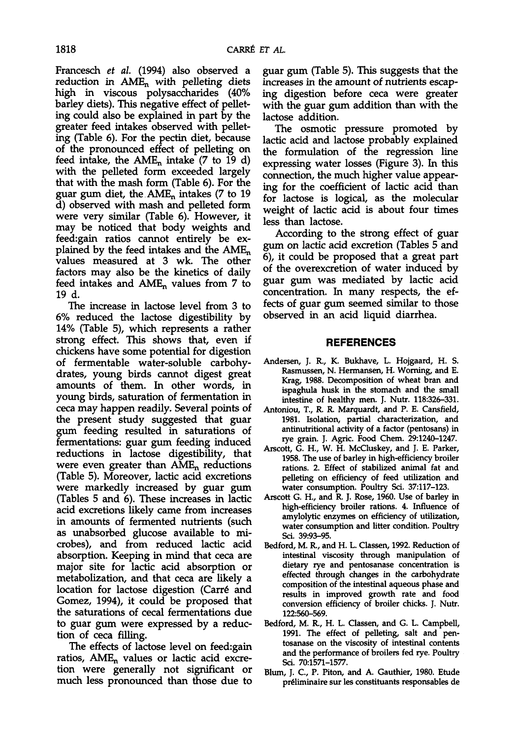Francesch *et al.* (1994) also observed a reduction in  $AME_n$  with pelleting diets high in viscous polysaccharides (40% barley diets). This negative effect of pellet- ing could also be explained in part by the greater feed intakes observed with pellet- ing (Table 6). For the pectin diet, because of the pronounced effect of pelleting on feed intake, the  $AME<sub>n</sub>$  intake (7 to 19 d) with the pelleted form exceeded largely that with the mash form (Table 6). For the guar gum diet, the  $AME_n$  intakes (7 to 19 d) observed with mash and pelleted form were very similar (Table 6). However, it may be noticed that body weights and feed:gain ratios cannot entirely be ex-<br>plained by the feed intakes and the  $AME_n$ <br>values measured at 3 wk. The other factors may also be the kinetics of daily feed intakes and  $AME_n$  values from 7 to 19 d.

The increase in lactose level from 3 to 6% reduced the lactose digestibility by 14% (Table 5), which represents a rather strong effect. This shows that, even if chickens have some potential for digestion of fermentable water-soluble carbohy- drates, young birds cannot digest great amounts of them. In other words, in young birds, saturation of fermentation in ceca may happen readily. Several points of the present study suggested that guar gum feeding resulted in saturations of fermentations: guar gum feeding induced reductions in lactose digestibility, that were even greater than  $\overline{AME}_n$  reductions (Table 5). Moreover, lactic acid excretions were markedly increased by guar gum (Tables 5 and 6). These increases in lactic acid excretions likely came from increases in amounts of fermented nutrients (such as unabsorbed glucose available to microbes), and from reduced lactic acid absorption. Keeping in mind that ceca are major site for lactic acid absorption or metabolization, and that ceca are likely a location for lactose digestion (Carré and Gomez, 1994), it could be proposed that<br>the saturations of cecal fermentations due to guar gum were expressed by a reduc- tion of ceca filling.

The effects of lactose level on feed:gain ratios,  $AME_n$  values or lactic acid excretion were generally not significant or much less pronounced than those due to guar gum (Table 5). This suggests that the increases in the amount of nutrients escaping digestion before ceca were greater with the guar gum addition than with the lactose addition.

The osmotic pressure promoted by lactic acid and lactose probably explained the formulation of the regression line expressing water losses (Figure 3). In this connection, the much higher value appearing for the coefficient of lactic acid than for lactose is logical, as the molecular weight of lactic acid is about four times less than lactose.

According to the strong effect of guar gum on lactic acid excretion (Tables 5 and 6), it could be proposed that a great part of the overexcretion of water induced by guar gum was mediated by lactic acid concentration. In many respects, the effects of guar gum seemed similar to those observed in an acid liquid diarrhea.

## **REFERENCES**

- Andersen, J. R., K. Bukhave, L. Hojgaard, H. S. Rasmussen, N. Hermansen, H. Worning, and E. Krag, 1988. Decomposition of wheat bran and ispaghula husk in the stomach and the small intestine of healthy men. J. Nutr. 118:326-331.
- Antoniou, T., R. R. Marquardt, and P. E. Cansfield, 1981. Isolation, partial characterization, and antinutritional activity of a factor (pentosans) in rye grain. J. Agric. Food Chem. 29:1240-1247.
- Arscott, G. H., W. H. McCluskey, and J. E. Parker, 1958. The use of barley in high-efficiency broiler rations. 2. Effect of stabilized animal fat and pelleting on efficiency of feed utilization and water consumption. Poultry Sci. 37:117-123.
- Arscott G. H., and R. J. Rose, 1960. Use of barley in high-efficiency broiler rations. 4. Influence of amylolytic enzymes on efficiency of utilization, water consumption and litter condition. Poultry Sci. 39:93-95.
- Bedford, M. R., and H. L. Classen, 1992. Reduction of intestinal viscosity through manipulation of dietary rye and pentosanase concentration is effected through changes in the carbohydrate composition of the intestinal aqueous phase and results in improved growth rate and food conversion efficiency of broiler chicks. J. Nutr. 122:560-569.
- Bedford, M. R., H. L. Classen, and G. L. Campbell, 1991. The effect of pelleting, salt and pentosanase on the viscosity of intestinal contents and the performance of broilers fed rye. Poultry Sci. 70:1571-1577.
- Blum, J. C, P. Piton, and A. Gauthier, 1980. Etude preliminaire sur les constituants responsables de